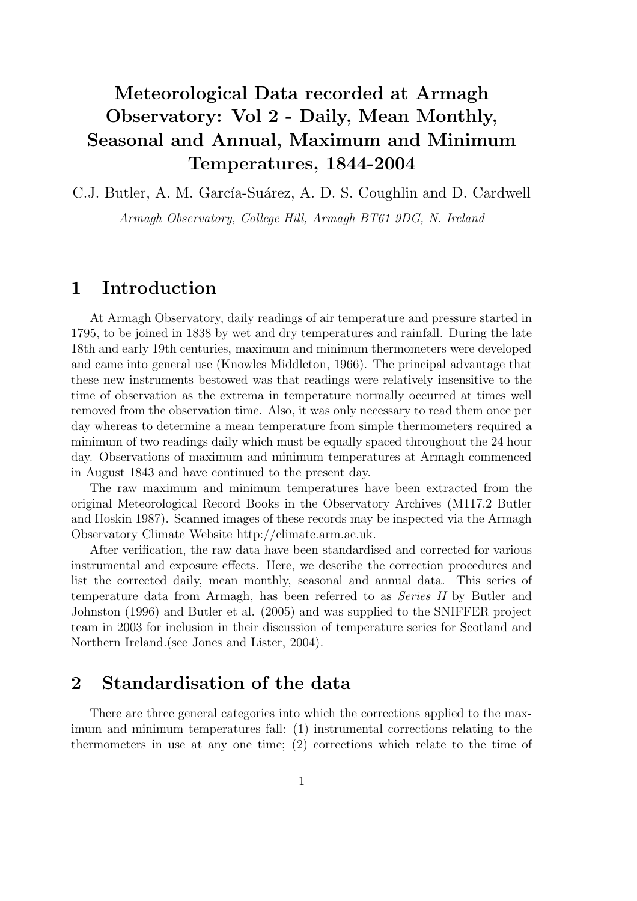# Meteorological Data recorded at Armagh Observatory: Vol 2 - Daily, Mean Monthly, Seasonal and Annual, Maximum and Minimum Temperatures, 1844-2004

C.J. Butler, A. M. García-Suárez, A. D. S. Coughlin and D. Cardwell

Armagh Observatory, College Hill, Armagh BT61 9DG, N. Ireland

## 1 Introduction

At Armagh Observatory, daily readings of air temperature and pressure started in 1795, to be joined in 1838 by wet and dry temperatures and rainfall. During the late 18th and early 19th centuries, maximum and minimum thermometers were developed and came into general use (Knowles Middleton, 1966). The principal advantage that these new instruments bestowed was that readings were relatively insensitive to the time of observation as the extrema in temperature normally occurred at times well removed from the observation time. Also, it was only necessary to read them once per day whereas to determine a mean temperature from simple thermometers required a minimum of two readings daily which must be equally spaced throughout the 24 hour day. Observations of maximum and minimum temperatures at Armagh commenced in August 1843 and have continued to the present day.

The raw maximum and minimum temperatures have been extracted from the original Meteorological Record Books in the Observatory Archives (M117.2 Butler and Hoskin 1987). Scanned images of these records may be inspected via the Armagh Observatory Climate Website http://climate.arm.ac.uk.

After verification, the raw data have been standardised and corrected for various instrumental and exposure effects. Here, we describe the correction procedures and list the corrected daily, mean monthly, seasonal and annual data. This series of temperature data from Armagh, has been referred to as Series II by Butler and Johnston (1996) and Butler et al. (2005) and was supplied to the SNIFFER project team in 2003 for inclusion in their discussion of temperature series for Scotland and Northern Ireland.(see Jones and Lister, 2004).

## 2 Standardisation of the data

There are three general categories into which the corrections applied to the maximum and minimum temperatures fall: (1) instrumental corrections relating to the thermometers in use at any one time; (2) corrections which relate to the time of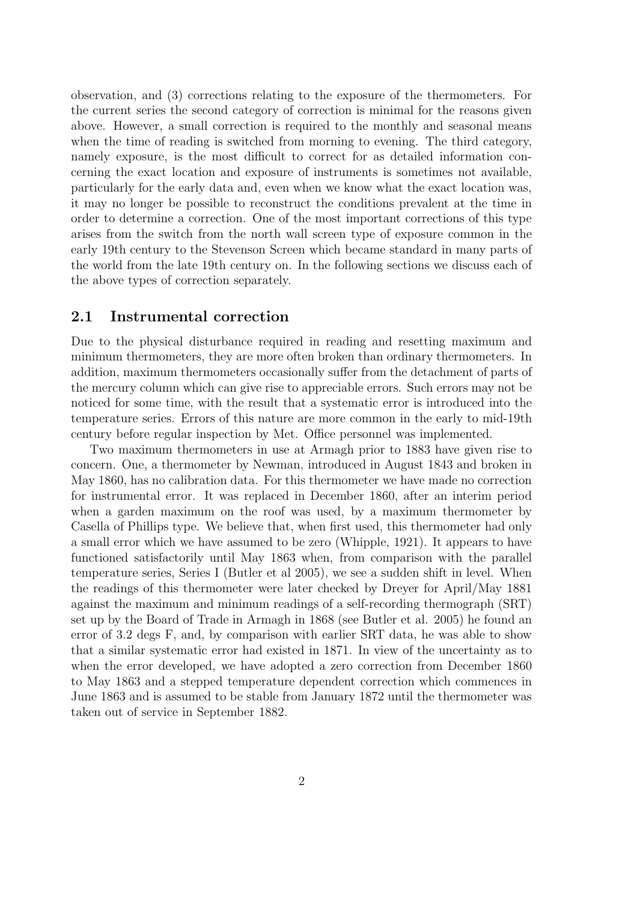observation, and (3) corrections relating to the exposure of the thermometers. For the current series the second category of correction is minimal for the reasons given above. However, a small correction is required to the monthly and seasonal means when the time of reading is switched from morning to evening. The third category, namely exposure, is the most difficult to correct for as detailed information concerning the exact location and exposure of instruments is sometimes not available, particularly for the early data and, even when we know what the exact location was, it may no longer be possible to reconstruct the conditions prevalent at the time in order to determine a correction. One of the most important corrections of this type arises from the switch from the north wall screen type of exposure common in the early 19th century to the Stevenson Screen which became standard in many parts of the world from the late 19th century on. In the following sections we discuss each of the above types of correction separately.

#### 2.1 Instrumental correction

Due to the physical disturbance required in reading and resetting maximum and minimum thermometers, they are more often broken than ordinary thermometers. In addition, maximum thermometers occasionally suffer from the detachment of parts of the mercury column which can give rise to appreciable errors. Such errors may not be noticed for some time, with the result that a systematic error is introduced into the temperature series. Errors of this nature are more common in the early to mid-19th century before regular inspection by Met. Office personnel was implemented.

Two maximum thermometers in use at Armagh prior to 1883 have given rise to concern. One, a thermometer by Newman, introduced in August 1843 and broken in May 1860, has no calibration data. For this thermometer we have made no correction for instrumental error. It was replaced in December 1860, after an interim period when a garden maximum on the roof was used, by a maximum thermometer by Casella of Phillips type. We believe that, when first used, this thermometer had only a small error which we have assumed to be zero (Whipple, 1921). It appears to have functioned satisfactorily until May 1863 when, from comparison with the parallel temperature series, Series I (Butler et al 2005), we see a sudden shift in level. When the readings of this thermometer were later checked by Dreyer for April/May 1881 against the maximum and minimum readings of a self-recording thermograph (SRT) set up by the Board of Trade in Armagh in 1868 (see Butler et al. 2005) he found an error of 3.2 degs F, and, by comparison with earlier SRT data, he was able to show that a similar systematic error had existed in 1871. In view of the uncertainty as to when the error developed, we have adopted a zero correction from December 1860 to May 1863 and a stepped temperature dependent correction which commences in June 1863 and is assumed to be stable from January 1872 until the thermometer was taken out of service in September 1882.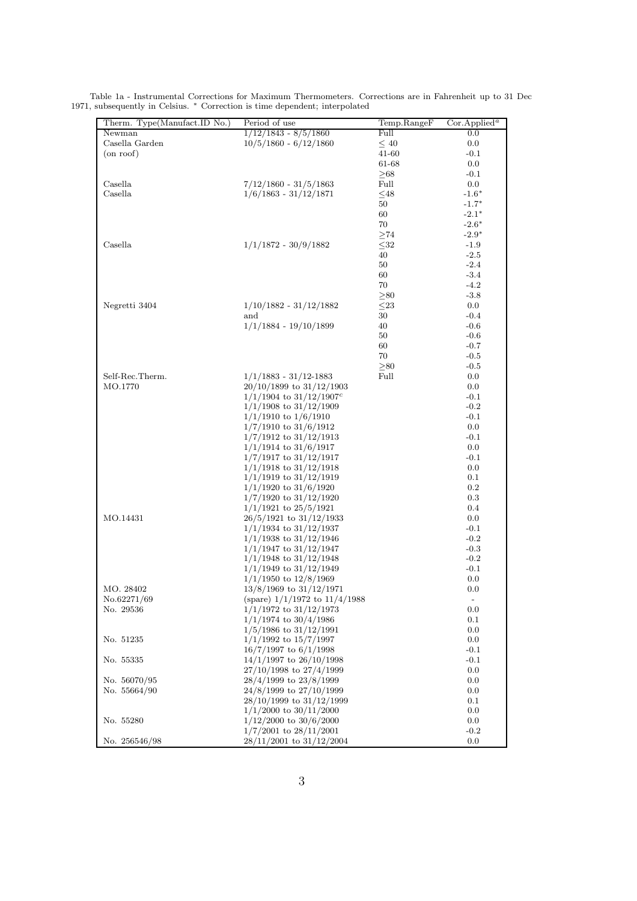| Therm. Type(Manufact.ID No.) | Period of use                           | Temp.RangeF  | Cor.Applied <sup>a</sup> |
|------------------------------|-----------------------------------------|--------------|--------------------------|
| Newman                       | $1/12/1843 - 8/5/1860$                  | Full         | $0.0\,$                  |
| Casella Garden               | $10/5/1860 - 6/12/1860$                 | $\leq 40$    | 0.0                      |
| (on roof)                    |                                         | 41-60        | $-0.1$                   |
|                              |                                         | 61-68        | 0.0                      |
|                              |                                         | $\geq 68$    | $-0.1$                   |
| Casella                      | $7/12/1860 - 31/5/1863$                 | Full         | 0.0                      |
| Casella                      |                                         |              | $-1.6*$                  |
|                              | $1/6/1863 - 31/12/1871$                 | $48$         |                          |
|                              |                                         | 50           | $-1.7*$                  |
|                              |                                         | 60           | $-2.1*$                  |
|                              |                                         | 70           | $-2.6*$                  |
|                              |                                         | $\geq$ 74    | $-2.9*$                  |
| Casella                      | $1/1/1872 - 30/9/1882$                  | $32$         | $-1.9$                   |
|                              |                                         | 40           | $-2.5$                   |
|                              |                                         | 50           | $-2.4$                   |
|                              |                                         | 60           | $-3.4$                   |
|                              |                                         | 70           | $-4.2$                   |
|                              |                                         | $\geq 80$    | $-3.8$                   |
| Negretti 3404                | $1/10/1882 - 31/12/1882$                | $\leq\!\!23$ | $0.0\,$                  |
|                              | and                                     | 30           | $-0.4$                   |
|                              | $1/1/1884 - 19/10/1899$                 | 40           | $-0.6$                   |
|                              |                                         | 50           | $-0.6$                   |
|                              |                                         | 60           | $-0.7$                   |
|                              |                                         | 70           | $-0.5$                   |
|                              |                                         | $\geq 80$    | $-0.5$                   |
| Self-Rec.Therm.              | $1/1/1883 - 31/12 - 1883$               | Full         | 0.0                      |
| MO.1770                      | $20/10/1899$ to $31/12/1903$            |              | 0.0                      |
|                              |                                         |              |                          |
|                              | $1/1/1904$ to $31/12/1907$ <sup>c</sup> |              | $-0.1$                   |
|                              | $1/1/1908$ to $31/12/1909$              |              | $-0.2$                   |
|                              | $1/1/1910$ to $1/6/1910$                |              | $-0.1$                   |
|                              | $1/7/1910$ to $31/6/1912$               |              | 0.0                      |
|                              | $1/7/1912$ to $31/12/1913$              |              | $-0.1$                   |
|                              | $1/1/1914$ to $31/6/1917$               |              | 0.0                      |
|                              | $1/7/1917$ to $31/12/1917$              |              | $-0.1$                   |
|                              | $1/1/1918$ to $31/12/1918$              |              | 0.0                      |
|                              | $1/1/1919$ to $31/12/1919$              |              | 0.1                      |
|                              | $1/1/1920$ to $31/6/1920$               |              | $0.2\,$                  |
|                              | $1/7/1920$ to $31/12/1920$              |              | $0.3\,$                  |
|                              | $1/1/1921$ to $25/5/1921$               |              | 0.4                      |
| MO.14431                     | $26/5/1921$ to $31/12/1933$             |              | 0.0                      |
|                              | $1/1/1934$ to $31/12/1937$              |              | $-0.1$                   |
|                              | $1/1/1938$ to $31/12/1946$              |              | $-0.2$                   |
|                              | $1/1/1947$ to $31/12/1947$              |              | $-0.3$                   |
|                              | $1/1/1948$ to $31/12/1948$              |              | $-0.2$                   |
|                              | $1/1/1949$ to $31/12/1949$              |              | $-0.1$                   |
|                              | $1/1/1950$ to $12/8/1969$               |              | 0.0                      |
| MO. 28402                    | $13/8/1969$ to $31/12/1971$             |              | 0.0                      |
| No.62271/69                  | (spare) $1/1/1972$ to $11/4/1988$       |              | $\overline{\phantom{a}}$ |
| No. 29536                    | $1/1/1972$ to $31/12/1973$              |              | 0.0                      |
|                              | $1/1/1974$ to $30/4/1986$               |              | 0.1                      |
|                              | $1/5/1986$ to $31/12/1991$              |              | 0.0                      |
|                              |                                         |              |                          |
| No. 51235                    | $1/1/1992$ to $15/7/1997$               |              | 0.0                      |
|                              | $16/7/1997$ to $6/1/1998$               |              | $-0.1$                   |
| No. 55335                    | $14/1/1997$ to $26/10/1998$             |              | $-0.1$                   |
|                              | 27/10/1998 to 27/4/1999                 |              | 0.0                      |
| No. 56070/95                 | 28/4/1999 to 23/8/1999                  |              | 0.0                      |
| No. 55664/90                 | 24/8/1999 to 27/10/1999                 |              | 0.0                      |
|                              | 28/10/1999 to 31/12/1999                |              | 0.1                      |
|                              | $1/1/2000$ to $30/11/2000$              |              | 0.0                      |
| No. 55280                    | $1/12/2000$ to $30/6/2000$              |              | 0.0                      |
|                              | $1/7/2001$ to $28/11/2001$              |              | $-0.2$                   |
| No. 256546/98                | $28/11/2001$ to $31/12/2004$            |              | 0.0                      |

Table 1a - Instrumental Corrections for Maximum Thermometers. Corrections are in Fahrenheit up to 31 Dec 1971, subsequently in Celsius. \* Correction is time dependent; interpolated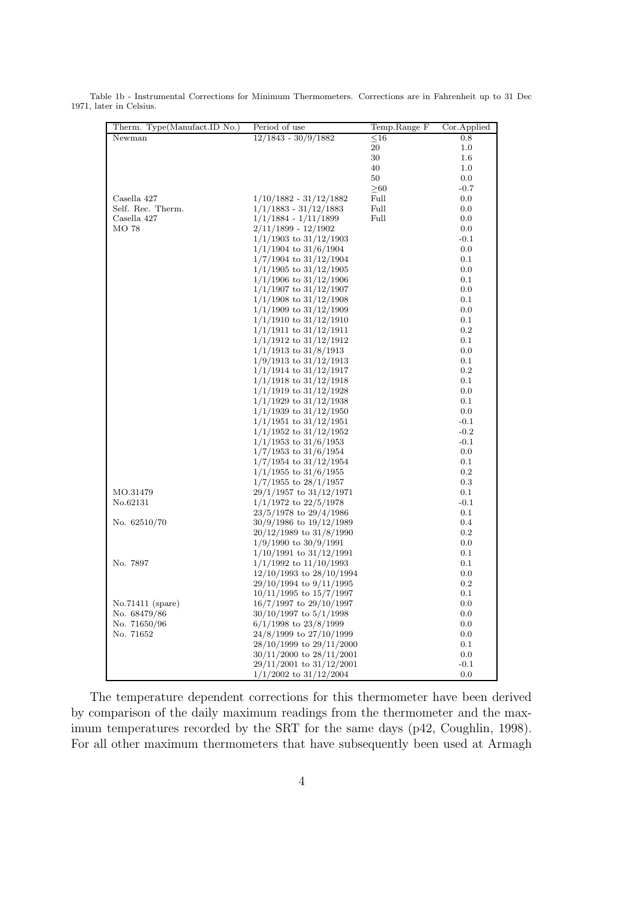| Therm. Type(Manufact.ID No.) | Period of use                | Temp.Range F | Cor.Applied |
|------------------------------|------------------------------|--------------|-------------|
| Newman                       | $12/1843 - 30/9/1882$        | $\leq16$     | 0.8         |
|                              |                              | 20           | $1.0\,$     |
|                              |                              | 30           | $1.6\,$     |
|                              |                              | 40           | $1.0\,$     |
|                              |                              | 50           | 0.0         |
|                              |                              | $\geq 60$    | $-0.7$      |
| Casella 427                  | $1/10/1882 - 31/12/1882$     | Full         | 0.0         |
| Self. Rec. Therm.            | $1/1/1883 - 31/12/1883$      | Full         | 0.0         |
| Casella 427                  | $1/1/1884 - 1/11/1899$       | Full         | 0.0         |
| MO 78                        | $2/11/1899 - 12/1902$        |              | 0.0         |
|                              | $1/1/1903$ to $31/12/1903$   |              | $-0.1$      |
|                              | $1/1/1904$ to $31/6/1904$    |              | 0.0         |
|                              | $1/7/1904$ to $31/12/1904$   |              | 0.1         |
|                              | $1/1/1905$ to $31/12/1905$   |              | 0.0         |
|                              | $1/1/1906$ to $31/12/1906$   |              | 0.1         |
|                              | $1/1/1907$ to $31/12/1907$   |              | 0.0         |
|                              | $1/1/1908$ to $31/12/1908$   |              | 0.1         |
|                              | $1/1/1909$ to $31/12/1909$   |              | 0.0         |
|                              | $1/1/1910$ to $31/12/1910$   |              | 0.1         |
|                              | $1/1/1911$ to $31/12/1911$   |              | 0.2         |
|                              | $1/1/1912$ to $31/12/1912$   |              | 0.1         |
|                              | $1/1/1913$ to $31/8/1913$    |              | 0.0         |
|                              | $1/9/1913$ to $31/12/1913$   |              | 0.1         |
|                              | $1/1/1914$ to $31/12/1917$   |              | 0.2         |
|                              | $1/1/1918$ to $31/12/1918$   |              | 0.1         |
|                              | $1/1/1919$ to $31/12/1928$   |              | 0.0         |
|                              | $1/1/1929$ to $31/12/1938$   |              | 0.1         |
|                              | $1/1/1939$ to $31/12/1950$   |              | 0.0         |
|                              | $1/1/1951$ to $31/12/1951$   |              | $-0.1$      |
|                              | $1/1/1952$ to $31/12/1952$   |              | $-0.2$      |
|                              | $1/1/1953$ to $31/6/1953$    |              | $-0.1$      |
|                              | $1/7/1953$ to $31/6/1954$    |              | 0.0         |
|                              | $1/7/1954$ to $31/12/1954$   |              | 0.1         |
|                              | $1/1/1955$ to $31/6/1955$    |              | $0.2\,$     |
|                              | $1/7/1955$ to $28/1/1957$    |              | 0.3         |
| MO.31479                     | $29/1/1957$ to $31/12/1971$  |              | 0.1         |
| No.62131                     | $1/1/1972$ to $22/5/1978$    |              | $-0.1$      |
|                              | $23/5/1978$ to $29/4/1986$   |              | 0.1         |
| No. 62510/70                 | $30/9/1986$ to $19/12/1989$  |              | 0.4         |
|                              | 20/12/1989 to 31/8/1990      |              | 0.2         |
|                              | $1/9/1990$ to $30/9/1991$    |              | 0.0         |
|                              | $1/10/1991$ to $31/12/1991$  |              | 0.1         |
| No. 7897                     | $1/1/1992$ to $11/10/1993$   |              | 0.1         |
|                              | $12/10/1993$ to $28/10/1994$ |              | 0.0         |
|                              | $29/10/1994$ to $9/11/1995$  |              | 0.2         |
|                              | $10/11/1995$ to $15/7/1997$  |              | 0.1         |
| $No.71411$ (spare)           | $16/7/1997$ to $29/10/1997$  |              | 0.0         |
| No. 68479/86                 | $30/10/1997$ to $5/1/1998$   |              | 0.0         |
| No. 71650/96                 | $6/1/1998$ to $23/8/1999$    |              | $0.0\,$     |
| No. 71652                    | 24/8/1999 to 27/10/1999      |              | 0.0         |
|                              | 28/10/1999 to 29/11/2000     |              | 0.1         |
|                              | $30/11/2000$ to $28/11/2001$ |              | 0.0         |
|                              | $29/11/2001$ to $31/12/2001$ |              | $-0.1$      |
|                              | $1/1/2002$ to $31/12/2004$   |              | 0.0         |

Table 1b - Instrumental Corrections for Minimum Thermometers. Corrections are in Fahrenheit up to 31 Dec 1971, later in Celsius.

The temperature dependent corrections for this thermometer have been derived by comparison of the daily maximum readings from the thermometer and the maximum temperatures recorded by the SRT for the same days (p42, Coughlin, 1998). For all other maximum thermometers that have subsequently been used at Armagh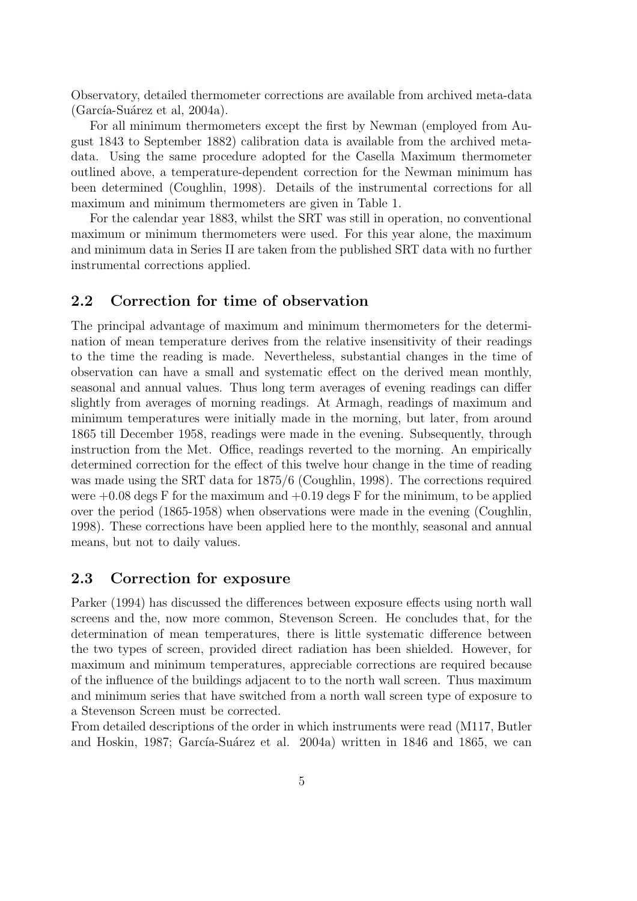Observatory, detailed thermometer corrections are available from archived meta-data  $(García-Suárez et al, 2004a).$ 

For all minimum thermometers except the first by Newman (employed from August 1843 to September 1882) calibration data is available from the archived metadata. Using the same procedure adopted for the Casella Maximum thermometer outlined above, a temperature-dependent correction for the Newman minimum has been determined (Coughlin, 1998). Details of the instrumental corrections for all maximum and minimum thermometers are given in Table 1.

For the calendar year 1883, whilst the SRT was still in operation, no conventional maximum or minimum thermometers were used. For this year alone, the maximum and minimum data in Series II are taken from the published SRT data with no further instrumental corrections applied.

#### 2.2 Correction for time of observation

The principal advantage of maximum and minimum thermometers for the determination of mean temperature derives from the relative insensitivity of their readings to the time the reading is made. Nevertheless, substantial changes in the time of observation can have a small and systematic effect on the derived mean monthly, seasonal and annual values. Thus long term averages of evening readings can differ slightly from averages of morning readings. At Armagh, readings of maximum and minimum temperatures were initially made in the morning, but later, from around 1865 till December 1958, readings were made in the evening. Subsequently, through instruction from the Met. Office, readings reverted to the morning. An empirically determined correction for the effect of this twelve hour change in the time of reading was made using the SRT data for 1875/6 (Coughlin, 1998). The corrections required were  $+0.08$  degs F for the maximum and  $+0.19$  degs F for the minimum, to be applied over the period (1865-1958) when observations were made in the evening (Coughlin, 1998). These corrections have been applied here to the monthly, seasonal and annual means, but not to daily values.

#### 2.3 Correction for exposure

Parker (1994) has discussed the differences between exposure effects using north wall screens and the, now more common, Stevenson Screen. He concludes that, for the determination of mean temperatures, there is little systematic difference between the two types of screen, provided direct radiation has been shielded. However, for maximum and minimum temperatures, appreciable corrections are required because of the influence of the buildings adjacent to to the north wall screen. Thus maximum and minimum series that have switched from a north wall screen type of exposure to a Stevenson Screen must be corrected.

From detailed descriptions of the order in which instruments were read (M117, Butler and Hoskin, 1987; García-Suárez et al. 2004a) written in 1846 and 1865, we can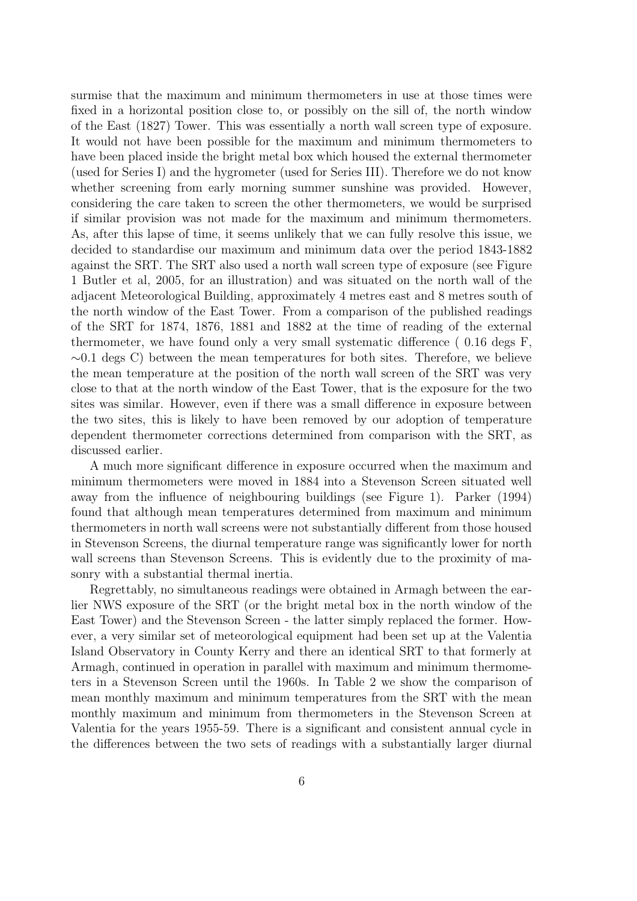surmise that the maximum and minimum thermometers in use at those times were fixed in a horizontal position close to, or possibly on the sill of, the north window of the East (1827) Tower. This was essentially a north wall screen type of exposure. It would not have been possible for the maximum and minimum thermometers to have been placed inside the bright metal box which housed the external thermometer (used for Series I) and the hygrometer (used for Series III). Therefore we do not know whether screening from early morning summer sunshine was provided. However, considering the care taken to screen the other thermometers, we would be surprised if similar provision was not made for the maximum and minimum thermometers. As, after this lapse of time, it seems unlikely that we can fully resolve this issue, we decided to standardise our maximum and minimum data over the period 1843-1882 against the SRT. The SRT also used a north wall screen type of exposure (see Figure 1 Butler et al, 2005, for an illustration) and was situated on the north wall of the adjacent Meteorological Building, approximately 4 metres east and 8 metres south of the north window of the East Tower. From a comparison of the published readings of the SRT for 1874, 1876, 1881 and 1882 at the time of reading of the external thermometer, we have found only a very small systematic difference ( 0.16 degs F, ∼0.1 degs C) between the mean temperatures for both sites. Therefore, we believe the mean temperature at the position of the north wall screen of the SRT was very close to that at the north window of the East Tower, that is the exposure for the two sites was similar. However, even if there was a small difference in exposure between the two sites, this is likely to have been removed by our adoption of temperature dependent thermometer corrections determined from comparison with the SRT, as discussed earlier.

A much more significant difference in exposure occurred when the maximum and minimum thermometers were moved in 1884 into a Stevenson Screen situated well away from the influence of neighbouring buildings (see Figure 1). Parker (1994) found that although mean temperatures determined from maximum and minimum thermometers in north wall screens were not substantially different from those housed in Stevenson Screens, the diurnal temperature range was significantly lower for north wall screens than Stevenson Screens. This is evidently due to the proximity of masonry with a substantial thermal inertia.

Regrettably, no simultaneous readings were obtained in Armagh between the earlier NWS exposure of the SRT (or the bright metal box in the north window of the East Tower) and the Stevenson Screen - the latter simply replaced the former. However, a very similar set of meteorological equipment had been set up at the Valentia Island Observatory in County Kerry and there an identical SRT to that formerly at Armagh, continued in operation in parallel with maximum and minimum thermometers in a Stevenson Screen until the 1960s. In Table 2 we show the comparison of mean monthly maximum and minimum temperatures from the SRT with the mean monthly maximum and minimum from thermometers in the Stevenson Screen at Valentia for the years 1955-59. There is a significant and consistent annual cycle in the differences between the two sets of readings with a substantially larger diurnal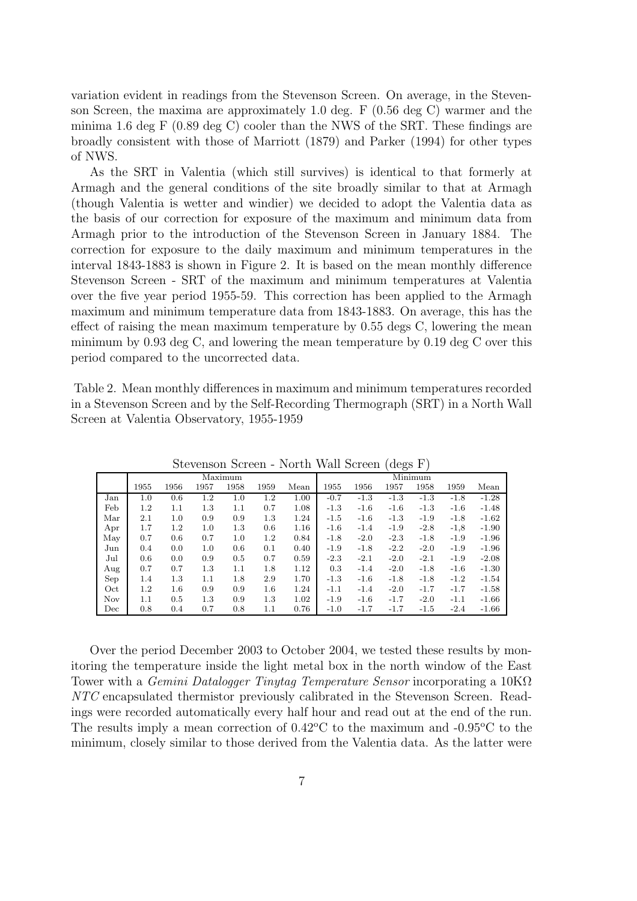variation evident in readings from the Stevenson Screen. On average, in the Stevenson Screen, the maxima are approximately 1.0 deg. F (0.56 deg C) warmer and the minima 1.6 deg F (0.89 deg C) cooler than the NWS of the SRT. These findings are broadly consistent with those of Marriott (1879) and Parker (1994) for other types of NWS.

As the SRT in Valentia (which still survives) is identical to that formerly at Armagh and the general conditions of the site broadly similar to that at Armagh (though Valentia is wetter and windier) we decided to adopt the Valentia data as the basis of our correction for exposure of the maximum and minimum data from Armagh prior to the introduction of the Stevenson Screen in January 1884. The correction for exposure to the daily maximum and minimum temperatures in the interval 1843-1883 is shown in Figure 2. It is based on the mean monthly difference Stevenson Screen - SRT of the maximum and minimum temperatures at Valentia over the five year period 1955-59. This correction has been applied to the Armagh maximum and minimum temperature data from 1843-1883. On average, this has the effect of raising the mean maximum temperature by 0.55 degs C, lowering the mean minimum by 0.93 deg C, and lowering the mean temperature by 0.19 deg C over this period compared to the uncorrected data.

Table 2. Mean monthly differences in maximum and minimum temperatures recorded in a Stevenson Screen and by the Self-Recording Thermograph (SRT) in a North Wall Screen at Valentia Observatory, 1955-1959

| ngagupan nglegii - 1701 mi<br><i>vvall</i> puteen<br>$($ uego r $)$ |         |         |         |      |         |         |        |        |        |        |        |         |
|---------------------------------------------------------------------|---------|---------|---------|------|---------|---------|--------|--------|--------|--------|--------|---------|
|                                                                     | Maximum |         |         |      |         | Minimum |        |        |        |        |        |         |
|                                                                     | 1955    | 1956    | 1957    | 1958 | 1959    | Mean    | 1955   | 1956   | 1957   | 1958   | 1959   | Mean    |
| Jan                                                                 | $1.0\,$ | 0.6     | 1.2     | 1.0  | $1.2\,$ | 1.00    | $-0.7$ | $-1.3$ | $-1.3$ | $-1.3$ | $-1.8$ | $-1.28$ |
| Feb                                                                 | $1.2\,$ | 1.1     | 1.3     | 1.1  | 0.7     | 1.08    | $-1.3$ | $-1.6$ | $-1.6$ | $-1.3$ | $-1.6$ | $-1.48$ |
| Mar                                                                 | 2.1     | 1.0     | 0.9     | 0.9  | 1.3     | 1.24    | $-1.5$ | $-1.6$ | $-1.3$ | $-1.9$ | $-1.8$ | $-1.62$ |
| Apr                                                                 | 1.7     | $1.2\,$ | $1.0\,$ | 1.3  | 0.6     | 1.16    | $-1.6$ | $-1.4$ | $-1.9$ | $-2.8$ | $-1,8$ | $-1.90$ |
| May                                                                 | 0.7     | 0.6     | 0.7     | 1.0  | 1.2     | 0.84    | $-1.8$ | $-2.0$ | $-2.3$ | $-1.8$ | $-1.9$ | $-1.96$ |
| Jun                                                                 | 0.4     | 0.0     | $1.0\,$ | 0.6  | 0.1     | 0.40    | $-1.9$ | $-1.8$ | $-2.2$ | $-2.0$ | $-1.9$ | $-1.96$ |
| Jul                                                                 | 0.6     | 0.0     | 0.9     | 0.5  | 0.7     | 0.59    | $-2.3$ | $-2.1$ | $-2.0$ | $-2.1$ | $-1.9$ | $-2.08$ |
| Aug                                                                 | 0.7     | 0.7     | 1.3     | 1.1  | 1.8     | 1.12    | 0.3    | $-1.4$ | $-2.0$ | $-1.8$ | $-1.6$ | $-1.30$ |
| Sep                                                                 | 1.4     | 1.3     | 1.1     | 1.8  | 2.9     | 1.70    | $-1.3$ | $-1.6$ | $-1.8$ | $-1.8$ | $-1.2$ | $-1.54$ |
| Oct                                                                 | $1.2\,$ | $1.6\,$ | 0.9     | 0.9  | $1.6\,$ | 1.24    | $-1.1$ | $-1.4$ | $-2.0$ | $-1.7$ | $-1.7$ | $-1.58$ |
| <b>Nov</b>                                                          | 1.1     | 0.5     | 1.3     | 0.9  | 1.3     | 1.02    | $-1.9$ | $-1.6$ | $-1.7$ | $-2.0$ | $-1.1$ | $-1.66$ |
| Dec                                                                 | 0.8     | $0.4\,$ | 0.7     | 0.8  | 1.1     | 0.76    | $-1.0$ | $-1.7$ | $-1.7$ | $-1.5$ | $-2.4$ | $-1.66$ |

Stevenson Screen - North Wall Screen (degs F)

Over the period December 2003 to October 2004, we tested these results by monitoring the temperature inside the light metal box in the north window of the East Tower with a *Gemini Datalogger Tinytag Temperature Sensor* incorporating a  $10K\Omega$ NTC encapsulated thermistor previously calibrated in the Stevenson Screen. Readings were recorded automatically every half hour and read out at the end of the run. The results imply a mean correction of  $0.42^{\circ}$ C to the maximum and  $-0.95^{\circ}$ C to the minimum, closely similar to those derived from the Valentia data. As the latter were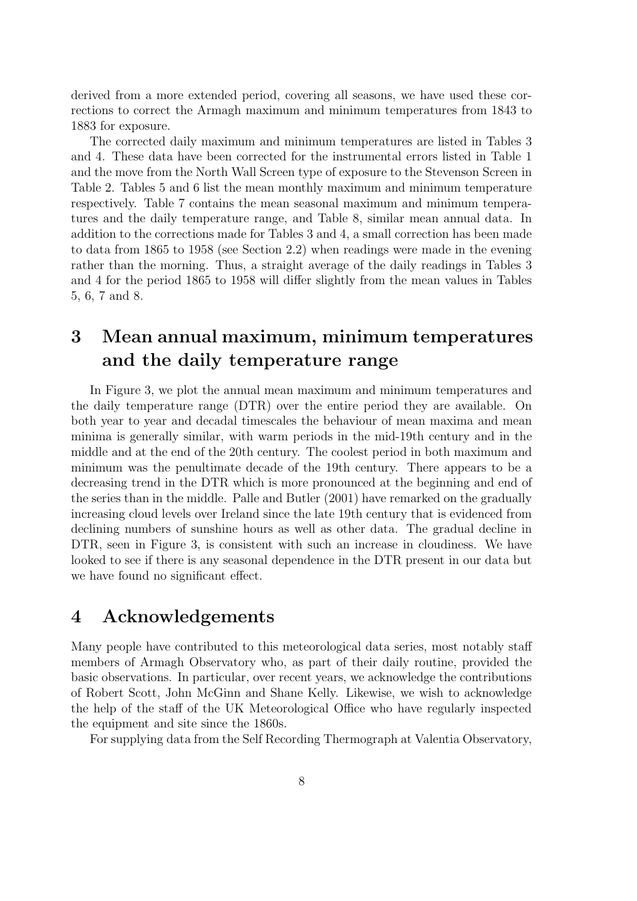derived from a more extended period, covering all seasons, we have used these corrections to correct the Armagh maximum and minimum temperatures from 1843 to 1883 for exposure.

The corrected daily maximum and minimum temperatures are listed in Tables 3 and 4. These data have been corrected for the instrumental errors listed in Table 1 and the move from the North Wall Screen type of exposure to the Stevenson Screen in Table 2. Tables 5 and 6 list the mean monthly maximum and minimum temperature respectively. Table 7 contains the mean seasonal maximum and minimum temperatures and the daily temperature range, and Table 8, similar mean annual data. In addition to the corrections made for Tables 3 and 4, a small correction has been made to data from 1865 to 1958 (see Section 2.2) when readings were made in the evening rather than the morning. Thus, a straight average of the daily readings in Tables 3 and 4 for the period 1865 to 1958 will differ slightly from the mean values in Tables 5, 6, 7 and 8.

## 3 Mean annual maximum, minimum temperatures and the daily temperature range

In Figure 3, we plot the annual mean maximum and minimum temperatures and the daily temperature range (DTR) over the entire period they are available. On both year to year and decadal timescales the behaviour of mean maxima and mean minima is generally similar, with warm periods in the mid-19th century and in the middle and at the end of the 20th century. The coolest period in both maximum and minimum was the penultimate decade of the 19th century. There appears to be a decreasing trend in the DTR which is more pronounced at the beginning and end of the series than in the middle. Palle and Butler (2001) have remarked on the gradually increasing cloud levels over Ireland since the late 19th century that is evidenced from declining numbers of sunshine hours as well as other data. The gradual decline in DTR, seen in Figure 3, is consistent with such an increase in cloudiness. We have looked to see if there is any seasonal dependence in the DTR present in our data but we have found no significant effect.

## 4 Acknowledgements

Many people have contributed to this meteorological data series, most notably staff members of Armagh Observatory who, as part of their daily routine, provided the basic observations. In particular, over recent years, we acknowledge the contributions of Robert Scott, John McGinn and Shane Kelly. Likewise, we wish to acknowledge the help of the staff of the UK Meteorological Office who have regularly inspected the equipment and site since the 1860s.

For supplying data from the Self Recording Thermograph at Valentia Observatory,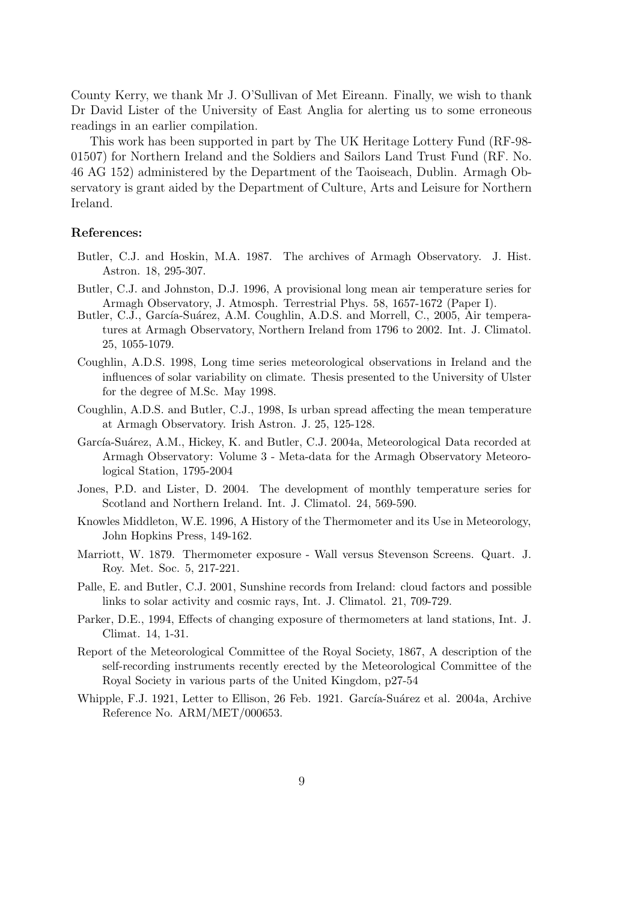County Kerry, we thank Mr J. O'Sullivan of Met Eireann. Finally, we wish to thank Dr David Lister of the University of East Anglia for alerting us to some erroneous readings in an earlier compilation.

This work has been supported in part by The UK Heritage Lottery Fund (RF-98- 01507) for Northern Ireland and the Soldiers and Sailors Land Trust Fund (RF. No. 46 AG 152) administered by the Department of the Taoiseach, Dublin. Armagh Observatory is grant aided by the Department of Culture, Arts and Leisure for Northern Ireland.

#### References:

- Butler, C.J. and Hoskin, M.A. 1987. The archives of Armagh Observatory. J. Hist. Astron. 18, 295-307.
- Butler, C.J. and Johnston, D.J. 1996, A provisional long mean air temperature series for Armagh Observatory, J. Atmosph. Terrestrial Phys. 58, 1657-1672 (Paper I).
- Butler, C.J., García-Suárez, A.M. Coughlin, A.D.S. and Morrell, C., 2005, Air temperatures at Armagh Observatory, Northern Ireland from 1796 to 2002. Int. J. Climatol. 25, 1055-1079.
- Coughlin, A.D.S. 1998, Long time series meteorological observations in Ireland and the influences of solar variability on climate. Thesis presented to the University of Ulster for the degree of M.Sc. May 1998.
- Coughlin, A.D.S. and Butler, C.J., 1998, Is urban spread affecting the mean temperature at Armagh Observatory. Irish Astron. J. 25, 125-128.
- García-Suárez, A.M., Hickey, K. and Butler, C.J. 2004a, Meteorological Data recorded at Armagh Observatory: Volume 3 - Meta-data for the Armagh Observatory Meteorological Station, 1795-2004
- Jones, P.D. and Lister, D. 2004. The development of monthly temperature series for Scotland and Northern Ireland. Int. J. Climatol. 24, 569-590.
- Knowles Middleton, W.E. 1996, A History of the Thermometer and its Use in Meteorology, John Hopkins Press, 149-162.
- Marriott, W. 1879. Thermometer exposure Wall versus Stevenson Screens. Quart. J. Roy. Met. Soc. 5, 217-221.
- Palle, E. and Butler, C.J. 2001, Sunshine records from Ireland: cloud factors and possible links to solar activity and cosmic rays, Int. J. Climatol. 21, 709-729.
- Parker, D.E., 1994, Effects of changing exposure of thermometers at land stations, Int. J. Climat. 14, 1-31.
- Report of the Meteorological Committee of the Royal Society, 1867, A description of the self-recording instruments recently erected by the Meteorological Committee of the Royal Society in various parts of the United Kingdom, p27-54
- Whipple, F.J. 1921, Letter to Ellison, 26 Feb. 1921. García-Suárez et al. 2004a, Archive Reference No. ARM/MET/000653.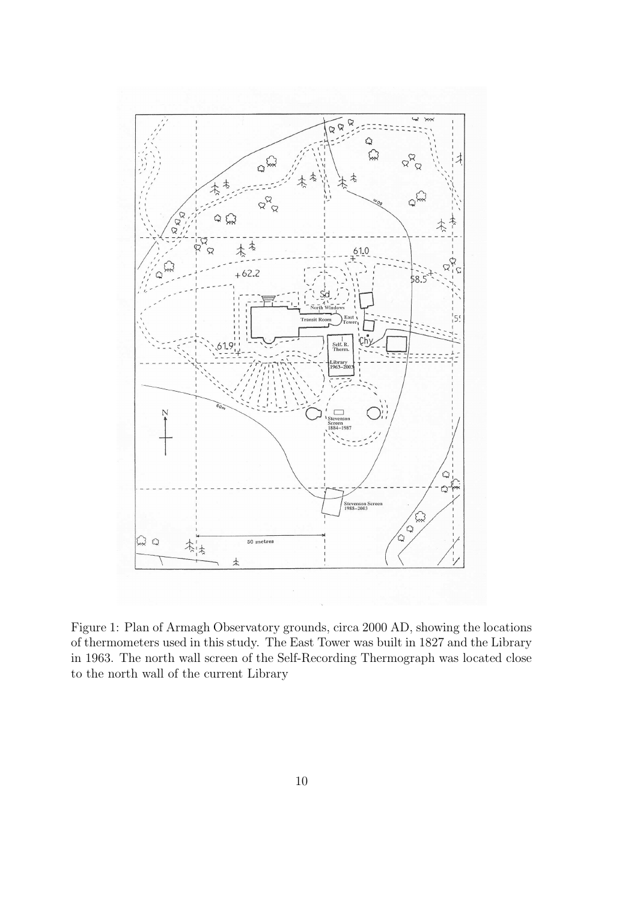

Figure 1: Plan of Armagh Observatory grounds, circa 2000 AD, showing the locations of thermometers used in this study. The East Tower was built in 1827 and the Library in 1963. The north wall screen of the Self-Recording Thermograph was located close to the north wall of the current Library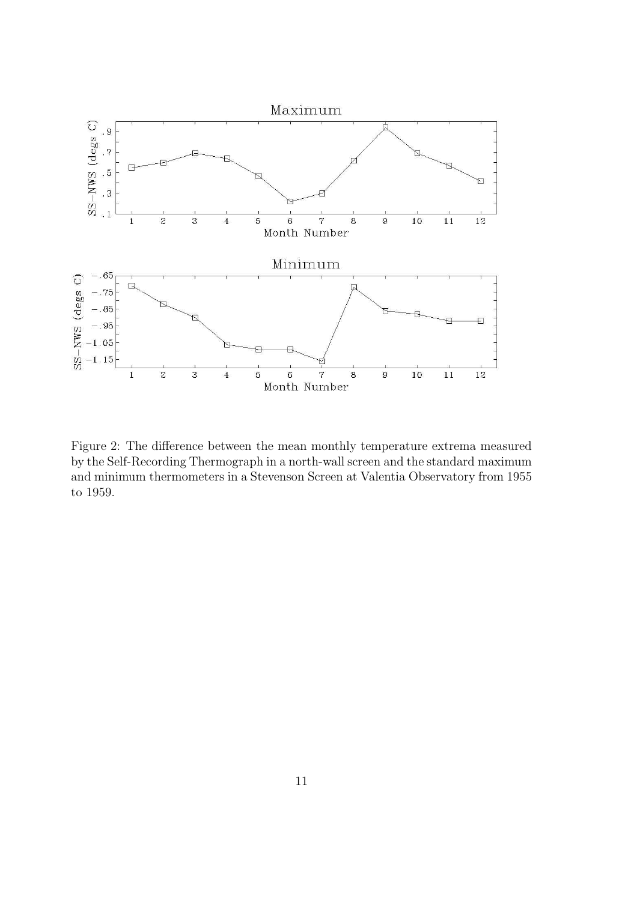

Figure 2: The difference between the mean monthly temperature extrema measured by the Self-Recording Thermograph in a north-wall screen and the standard maximum and minimum thermometers in a Stevenson Screen at Valentia Observatory from 1955 to 1959.